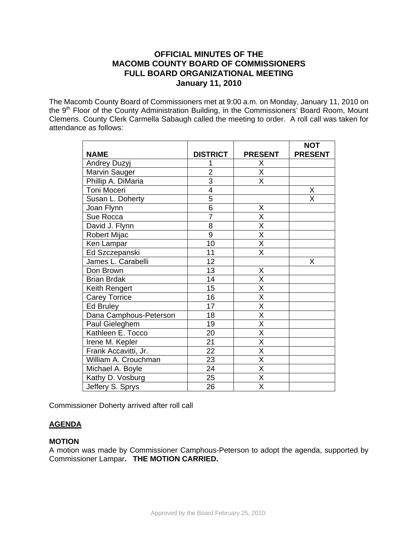# **OFFICIAL MINUTES OF THE MACOMB COUNTY BOARD OF COMMISSIONERS FULL BOARD ORGANIZATIONAL MEETING January 11, 2010**

The Macomb County Board of Commissioners met at 9:00 a.m. on Monday, January 11, 2010 on the 9<sup>th</sup> Floor of the County Administration Building, in the Commissioners' Board Room, Mount Clemens. County Clerk Carmella Sabaugh called the meeting to order. A roll call was taken for attendance as follows:

|                        |                 |                         | <b>NOT</b>     |
|------------------------|-----------------|-------------------------|----------------|
| <b>NAME</b>            | <b>DISTRICT</b> | <b>PRESENT</b>          | <b>PRESENT</b> |
| Andrey Duzyj           |                 | Χ                       |                |
| Marvin Sauger          | $\overline{2}$  | $\overline{\mathsf{x}}$ |                |
| Phillip A. DiMaria     | $\overline{3}$  | X                       |                |
| Toni Moceri            | $\overline{4}$  |                         | Χ              |
| Susan L. Doherty       | $\overline{5}$  |                         | X              |
| Joan Flynn             | $\overline{6}$  | Χ                       |                |
| Sue Rocca              | $\overline{7}$  | $\overline{\mathsf{x}}$ |                |
| David J. Flynn         | 8               | X                       |                |
| <b>Robert Mijac</b>    | $\overline{9}$  | $\overline{\mathsf{x}}$ |                |
| Ken Lampar             | $\overline{10}$ | $\overline{\mathsf{x}}$ |                |
| Ed Szczepanski         | 11              | X                       |                |
| James L. Carabelli     | 12              |                         | X              |
| Don Brown              | 13              | X                       |                |
| <b>Brian Brdak</b>     | 14              | Χ                       |                |
| Keith Rengert          | 15              | $\overline{\mathsf{x}}$ |                |
| <b>Carey Torrice</b>   | 16              | $\overline{\mathsf{x}}$ |                |
| Ed Bruley              | 17              | $\overline{\mathsf{X}}$ |                |
| Dana Camphous-Peterson | 18              | $\overline{\mathsf{x}}$ |                |
| Paul Gieleghem         | 19              | $\overline{\mathsf{x}}$ |                |
| Kathleen E. Tocco      | 20              | $\overline{\mathsf{x}}$ |                |
| Irene M. Kepler        | 21              | $\overline{\mathsf{x}}$ |                |
| Frank Accavitti, Jr.   | 22              | $\overline{\mathsf{x}}$ |                |
| William A. Crouchman   | 23              | $\overline{\mathsf{x}}$ |                |
| Michael A. Boyle       | 24              | $\overline{\mathsf{X}}$ |                |
| Kathy D. Vosburg       | 25              | X                       |                |
| Jeffery S. Sprys       | 26              | $\overline{\mathsf{x}}$ |                |

Commissioner Doherty arrived after roll call

## **AGENDA**

#### **MOTION**

A motion was made by Commissioner Camphous-Peterson to adopt the agenda, supported by Commissioner Lampar**. THE MOTION CARRIED.**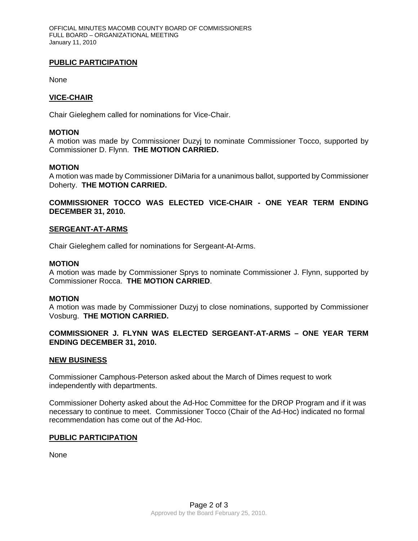## **PUBLIC PARTICIPATION**

None

# **VICE-CHAIR**

Chair Gieleghem called for nominations for Vice-Chair.

### **MOTION**

A motion was made by Commissioner Duzyj to nominate Commissioner Tocco, supported by Commissioner D. Flynn. **THE MOTION CARRIED.** 

### **MOTION**

A motion was made by Commissioner DiMaria for a unanimous ballot, supported by Commissioner Doherty. **THE MOTION CARRIED.** 

**COMMISSIONER TOCCO WAS ELECTED VICE-CHAIR - ONE YEAR TERM ENDING DECEMBER 31, 2010.** 

### **SERGEANT-AT-ARMS**

Chair Gieleghem called for nominations for Sergeant-At-Arms.

### **MOTION**

A motion was made by Commissioner Sprys to nominate Commissioner J. Flynn, supported by Commissioner Rocca. **THE MOTION CARRIED**.

### **MOTION**

A motion was made by Commissioner Duzyj to close nominations, supported by Commissioner Vosburg. **THE MOTION CARRIED.** 

## **COMMISSIONER J. FLYNN WAS ELECTED SERGEANT-AT-ARMS – ONE YEAR TERM ENDING DECEMBER 31, 2010.**

## **NEW BUSINESS**

Commissioner Camphous-Peterson asked about the March of Dimes request to work independently with departments.

Commissioner Doherty asked about the Ad-Hoc Committee for the DROP Program and if it was necessary to continue to meet. Commissioner Tocco (Chair of the Ad-Hoc) indicated no formal recommendation has come out of the Ad-Hoc.

#### **PUBLIC PARTICIPATION**

None